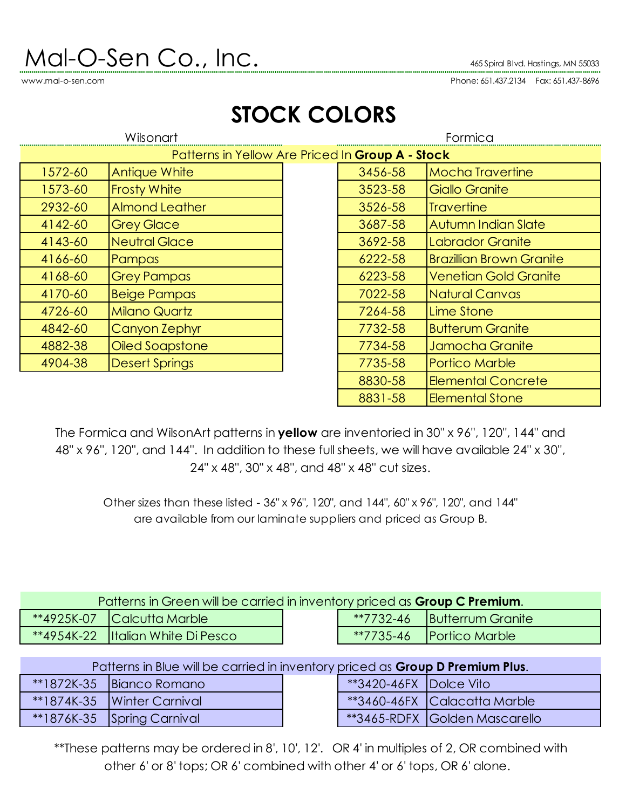## $\mathsf{Mol}\text{-}\mathsf{O}\text{-}\mathsf{Sen} \ \mathsf{Co}\text{.}$  Inc.  $\blacksquare$

www.mal-o-sen.com

Phone: 651.437.2134 Fax: 651.437-8696

| Wilsonart                                        |                       | Formica |         |                                 |  |
|--------------------------------------------------|-----------------------|---------|---------|---------------------------------|--|
| Patterns in Yellow Are Priced In Group A - Stock |                       |         |         |                                 |  |
| 1572-60                                          | <b>Antique White</b>  |         | 3456-58 | <b>Mocha Travertine</b>         |  |
| 1573-60                                          | <b>Frosty White</b>   |         | 3523-58 | Giallo Granite                  |  |
| 2932-60                                          | <b>Almond Leather</b> |         | 3526-58 | <b>Travertine</b>               |  |
| 4142-60                                          | <b>Grey Glace</b>     |         | 3687-58 | Autumn Indian Slate             |  |
| 4143-60                                          | <b>Neutral Glace</b>  |         | 3692-58 | Labrador Granite                |  |
| 4166-60                                          | Pampas                |         | 6222-58 | <b>Brazillian Brown Granite</b> |  |
| 4168-60                                          | <b>Grey Pampas</b>    |         | 6223-58 | <b>Venetian Gold Granite</b>    |  |
| 4170-60                                          | <b>Beige Pampas</b>   |         | 7022-58 | Natural Canvas                  |  |
| 4726-60                                          | <b>Milano Quartz</b>  |         | 7264-58 | Lime Stone                      |  |
| 4842-60                                          | Canyon Zephyr         |         | 7732-58 | <b>Butterum Granite</b>         |  |
| 4882-38                                          | Oiled Soapstone       |         | 7734-58 | Jamocha Granite                 |  |
| 4904-38                                          | <b>Desert Springs</b> |         | 7735-58 | Portico Marble                  |  |

## **STOCK COLORS**

The Formica and WilsonArt patterns in **yellow** are inventoried in 30" x 96", 120", 144" and 48" x 96", 120", and 144". In addition to these full sheets, we will have available 24" x 30", 24" x 48", 30" x 48", and 48" x 48" cut sizes.

Other sizes than these listed - 36" x 96", 120", and 144", 60" x 96", 120", and 144" are available from our laminate suppliers and priced as Group B.

| Patterns in Green will be carried in inventory priced as Group C Premium. |                                    |  |  |                                      |  |
|---------------------------------------------------------------------------|------------------------------------|--|--|--------------------------------------|--|
|                                                                           | **4925K-07 Calcutta Marble         |  |  | <b>**7732-46   Butterrum Granite</b> |  |
|                                                                           | **4954K-22  Italian White Di Pesco |  |  | $*7735-46$ Portico Marble            |  |

## Patterns in Blue will be carried in inventory priced as **Group D Premium Plus**.

| **1872K-35 Bianco Romano          | **3420-46FX Dolce Vito |                                      |
|-----------------------------------|------------------------|--------------------------------------|
| **1874K-35   Winter Carnival      |                        | **3460-46FX Calacatta Marble         |
| <b>**1876K-35 Spring Carnival</b> |                        | <b>**3465-RDFX Golden Mascarello</b> |

| **3420-46FX Dolce Vito |                               |
|------------------------|-------------------------------|
|                        | **3460-46FX Calacatta Marble  |
|                        | **3465-RDFX Golden Mascarello |

8830-58 **Elemental Concrete** 8831-58 Elemental Stone

\*\*These patterns may be ordered in 8', 10', 12'. OR 4' in multiples of 2, OR combined with other 6' or 8' tops; OR 6' combined with other 4' or 6' tops, OR 6' alone.